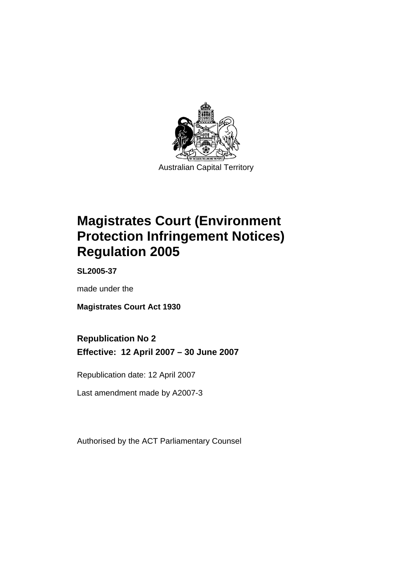

Australian Capital Territory

# **Magistrates Court (Environment Protection Infringement Notices) Regulation 2005**

**SL2005-37** 

made under the

**Magistrates Court Act 1930** 

# **Republication No 2**

**Effective: 12 April 2007 – 30 June 2007** 

Republication date: 12 April 2007

Last amendment made by A2007-3

Authorised by the ACT Parliamentary Counsel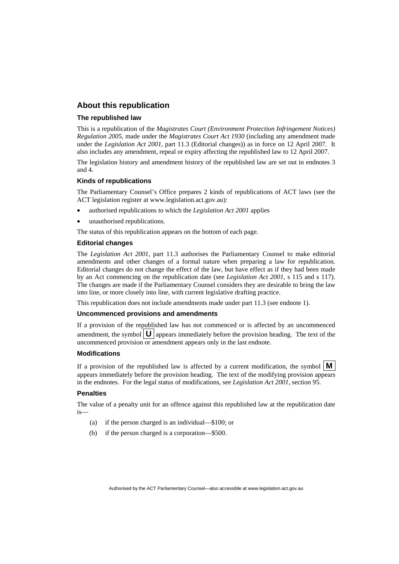### **About this republication**

#### **The republished law**

This is a republication of the *Magistrates Court (Environment Protection Infringement Notices) Regulation 2005*, made under the *Magistrates Court Act 1930* (including any amendment made under the *Legislation Act 2001*, part 11.3 (Editorial changes)) as in force on 12 April 2007*.* It also includes any amendment, repeal or expiry affecting the republished law to 12 April 2007.

The legislation history and amendment history of the republished law are set out in endnotes 3 and 4.

#### **Kinds of republications**

The Parliamentary Counsel's Office prepares 2 kinds of republications of ACT laws (see the ACT legislation register at www.legislation.act.gov.au):

- authorised republications to which the *Legislation Act 2001* applies
- unauthorised republications.

The status of this republication appears on the bottom of each page.

#### **Editorial changes**

The *Legislation Act 2001*, part 11.3 authorises the Parliamentary Counsel to make editorial amendments and other changes of a formal nature when preparing a law for republication. Editorial changes do not change the effect of the law, but have effect as if they had been made by an Act commencing on the republication date (see *Legislation Act 2001*, s 115 and s 117). The changes are made if the Parliamentary Counsel considers they are desirable to bring the law into line, or more closely into line, with current legislative drafting practice.

This republication does not include amendments made under part 11.3 (see endnote 1).

#### **Uncommenced provisions and amendments**

If a provision of the republished law has not commenced or is affected by an uncommenced amendment, the symbol  $\mathbf{U}$  appears immediately before the provision heading. The text of the uncommenced provision or amendment appears only in the last endnote.

#### **Modifications**

If a provision of the republished law is affected by a current modification, the symbol  $\mathbf{M}$ appears immediately before the provision heading. The text of the modifying provision appears in the endnotes. For the legal status of modifications, see *Legislation Act 2001*, section 95.

#### **Penalties**

The value of a penalty unit for an offence against this republished law at the republication date is—

- (a) if the person charged is an individual—\$100; or
- (b) if the person charged is a corporation—\$500.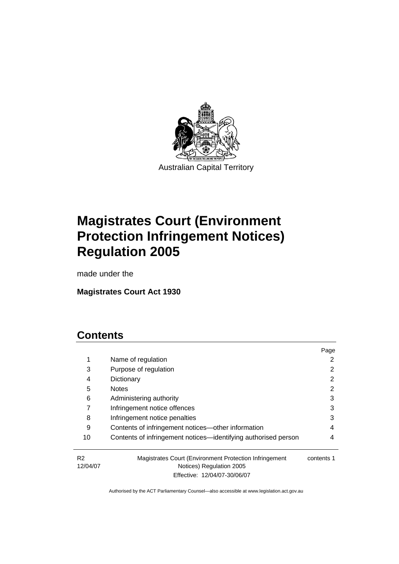

Australian Capital Territory

# **Magistrates Court (Environment Protection Infringement Notices) Regulation 2005**

made under the

# **Magistrates Court Act 1930**

# **Contents**

|                            |                                                                                    | Page       |
|----------------------------|------------------------------------------------------------------------------------|------------|
| 1                          | Name of regulation                                                                 |            |
| 3                          | Purpose of regulation                                                              |            |
| 4                          | Dictionary                                                                         | 2          |
| 5                          | <b>Notes</b>                                                                       | 2          |
| 6                          | Administering authority                                                            | 3          |
|                            | Infringement notice offences                                                       | 3          |
| 8                          | Infringement notice penalties                                                      | 3          |
| 9                          | Contents of infringement notices—other information                                 | 4          |
| 10                         | Contents of infringement notices—identifying authorised person                     | 4          |
| R <sub>2</sub><br>12/04/07 | Magistrates Court (Environment Protection Infringement<br>Notices) Regulation 2005 | contents 1 |

Effective: 12/04/07-30/06/07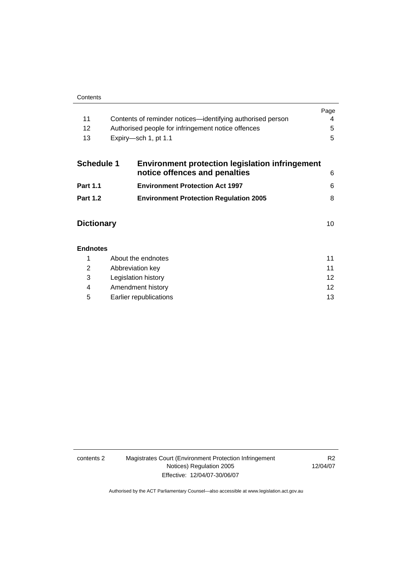|                   |                                                            | Page |
|-------------------|------------------------------------------------------------|------|
| 11                | Contents of reminder notices—identifying authorised person |      |
| 12                | Authorised people for infringement notice offences         | 5    |
| 13                | Expiry—sch 1, pt 1.1                                       | 5    |
| <b>Schedule 1</b> | <b>Environment protection legislation infringement</b>     |      |

| <b>UCHECHE</b> L | <u>Literaturistik protection registation inimigeniemi</u><br>notice offences and penalties |   |
|------------------|--------------------------------------------------------------------------------------------|---|
| <b>Part 1.1</b>  | <b>Environment Protection Act 1997</b>                                                     | 6 |
| <b>Part 1.2</b>  | <b>Environment Protection Regulation 2005</b>                                              |   |

| <b>Dictionary</b> |  |
|-------------------|--|
|-------------------|--|

| <b>Endnotes</b> |                        |    |
|-----------------|------------------------|----|
|                 | About the endnotes     | 11 |
| 2               | Abbreviation key       | 11 |
| 3               | Legislation history    | 12 |
| 4               | Amendment history      | 12 |
| 5               | Earlier republications | 13 |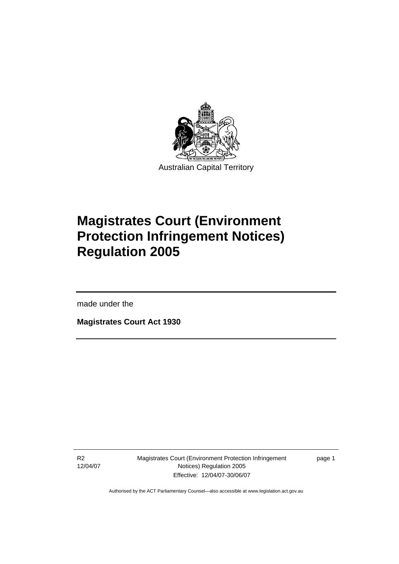

Australian Capital Territory

# **Magistrates Court (Environment Protection Infringement Notices) Regulation 2005**

made under the

l

**Magistrates Court Act 1930** 

R2 12/04/07 Magistrates Court (Environment Protection Infringement Notices) Regulation 2005 Effective: 12/04/07-30/06/07

page 1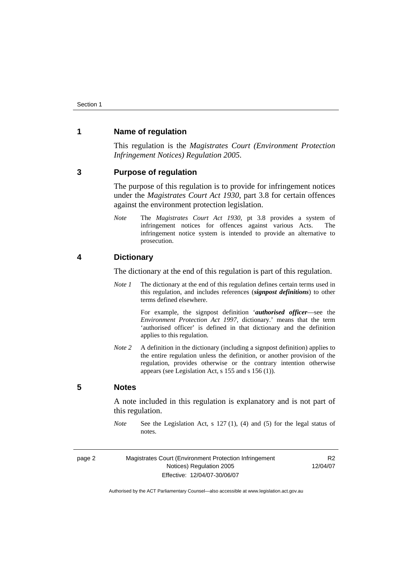### **1 Name of regulation**

This regulation is the *Magistrates Court (Environment Protection Infringement Notices) Regulation 2005*.

#### **3 Purpose of regulation**

The purpose of this regulation is to provide for infringement notices under the *Magistrates Court Act 1930*, part 3.8 for certain offences against the environment protection legislation.

*Note* The *Magistrates Court Act 1930*, pt 3.8 provides a system of infringement notices for offences against various Acts. The infringement notice system is intended to provide an alternative to prosecution.

#### **4 Dictionary**

The dictionary at the end of this regulation is part of this regulation.

*Note 1* The dictionary at the end of this regulation defines certain terms used in this regulation, and includes references (*signpost definitions*) to other terms defined elsewhere.

> For example, the signpost definition '*authorised officer*—see the *Environment Protection Act 1997*, dictionary.' means that the term 'authorised officer' is defined in that dictionary and the definition applies to this regulation.

*Note 2* A definition in the dictionary (including a signpost definition) applies to the entire regulation unless the definition, or another provision of the regulation, provides otherwise or the contrary intention otherwise appears (see Legislation Act, s 155 and s 156 (1)).

### **5 Notes**

A note included in this regulation is explanatory and is not part of this regulation.

*Note* See the Legislation Act, s 127 (1), (4) and (5) for the legal status of notes

|--|--|

Magistrates Court (Environment Protection Infringement Notices) Regulation 2005 Effective: 12/04/07-30/06/07

R2 12/04/07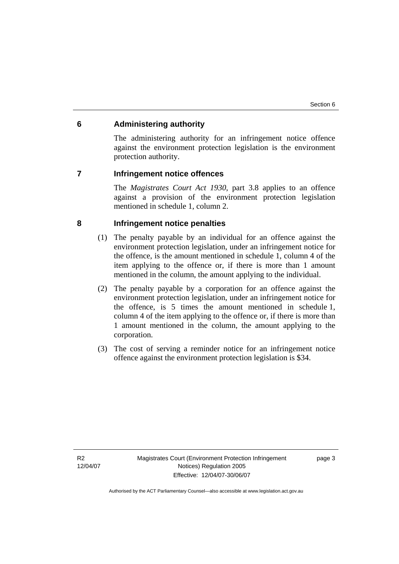### **6 Administering authority**

The administering authority for an infringement notice offence against the environment protection legislation is the environment protection authority.

#### **7 Infringement notice offences**

The *Magistrates Court Act 1930*, part 3.8 applies to an offence against a provision of the environment protection legislation mentioned in schedule 1, column 2.

### **8 Infringement notice penalties**

- (1) The penalty payable by an individual for an offence against the environment protection legislation, under an infringement notice for the offence, is the amount mentioned in schedule 1, column 4 of the item applying to the offence or, if there is more than 1 amount mentioned in the column, the amount applying to the individual.
- (2) The penalty payable by a corporation for an offence against the environment protection legislation, under an infringement notice for the offence, is 5 times the amount mentioned in schedule 1, column 4 of the item applying to the offence or, if there is more than 1 amount mentioned in the column, the amount applying to the corporation.
- (3) The cost of serving a reminder notice for an infringement notice offence against the environment protection legislation is \$34.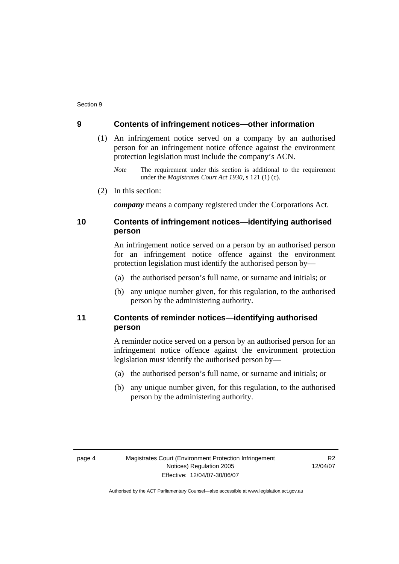#### **9 Contents of infringement notices—other information**

- (1) An infringement notice served on a company by an authorised person for an infringement notice offence against the environment protection legislation must include the company's ACN.
	- *Note* The requirement under this section is additional to the requirement under the *Magistrates Court Act 1930*, s 121 (1) (c).
- (2) In this section:

*company* means a company registered under the Corporations Act.

## **10 Contents of infringement notices—identifying authorised person**

An infringement notice served on a person by an authorised person for an infringement notice offence against the environment protection legislation must identify the authorised person by—

- (a) the authorised person's full name, or surname and initials; or
- (b) any unique number given, for this regulation, to the authorised person by the administering authority.

### **11 Contents of reminder notices—identifying authorised person**

A reminder notice served on a person by an authorised person for an infringement notice offence against the environment protection legislation must identify the authorised person by—

- (a) the authorised person's full name, or surname and initials; or
- (b) any unique number given, for this regulation, to the authorised person by the administering authority.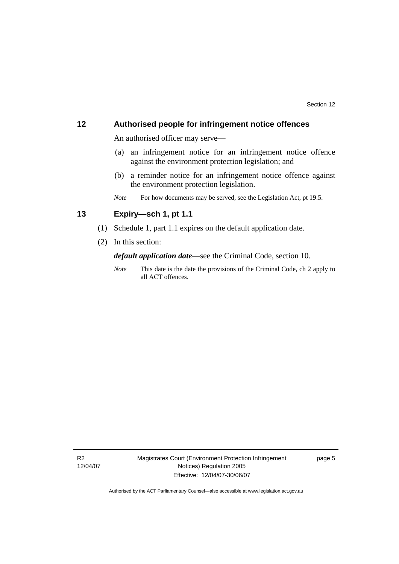### **12 Authorised people for infringement notice offences**

An authorised officer may serve—

- (a) an infringement notice for an infringement notice offence against the environment protection legislation; and
- (b) a reminder notice for an infringement notice offence against the environment protection legislation.
- *Note* For how documents may be served, see the Legislation Act, pt 19.5.

# **13 Expiry—sch 1, pt 1.1**

- (1) Schedule 1, part 1.1 expires on the default application date.
- (2) In this section:

*default application date*—see the Criminal Code, section 10.

*Note* This date is the date the provisions of the Criminal Code, ch 2 apply to all ACT offences.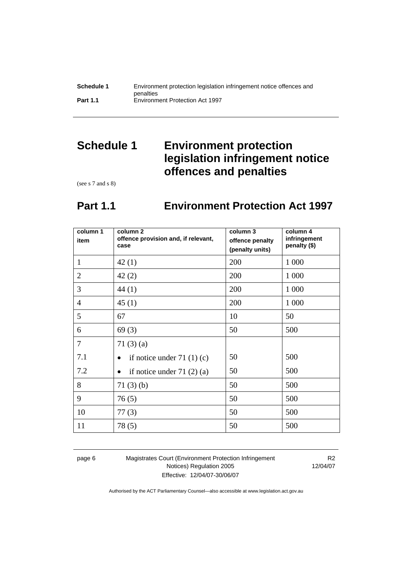| Schedule 1      | Environment protection legislation infringement notice offences and |
|-----------------|---------------------------------------------------------------------|
|                 | penalties                                                           |
| <b>Part 1.1</b> | <b>Environment Protection Act 1997</b>                              |

# **Schedule 1 Environment protection legislation infringement notice offences and penalties**

(see s 7 and s 8)

# **Part 1.1 Environment Protection Act 1997**

| column 1<br>item | column <sub>2</sub><br>offence provision and, if relevant,<br>case | column 3<br>offence penalty<br>(penalty units) | column 4<br>infringement<br>penalty (\$) |
|------------------|--------------------------------------------------------------------|------------------------------------------------|------------------------------------------|
| $\mathbf{1}$     | 42(1)                                                              | 200                                            | 1 0 0 0                                  |
| $\overline{2}$   | 42(2)                                                              | 200                                            | 1 0 0 0                                  |
| 3                | 44 (1)                                                             | 200                                            | 1 0 0 0                                  |
| $\overline{4}$   | 45(1)                                                              | 200                                            | 1 0 0 0                                  |
| 5                | 67                                                                 | 10                                             | 50                                       |
| 6                | 69(3)                                                              | 50                                             | 500                                      |
| $\overline{7}$   | 71 $(3)$ $(a)$                                                     |                                                |                                          |
| 7.1              | if notice under 71 $(1)(c)$                                        | 50                                             | 500                                      |
| 7.2              | if notice under $71(2)(a)$                                         | 50                                             | 500                                      |
| 8                | 71(3)(b)                                                           | 50                                             | 500                                      |
| 9                | 76(5)                                                              | 50                                             | 500                                      |
| 10               | 77(3)                                                              | 50                                             | 500                                      |
| 11               | 78(5)                                                              | 50                                             | 500                                      |

page 6 Magistrates Court (Environment Protection Infringement Notices) Regulation 2005 Effective: 12/04/07-30/06/07

R2 12/04/07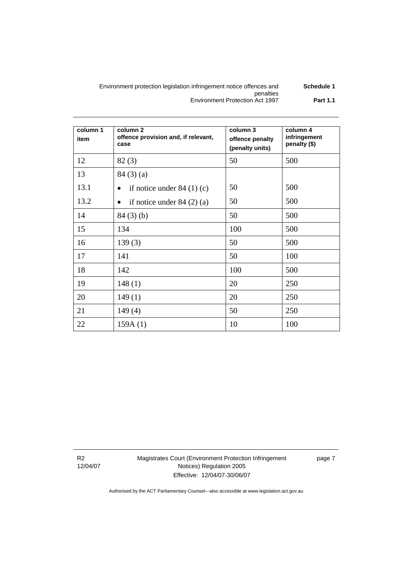#### Environment protection legislation infringement notice offences and penalties **Schedule 1**  Environment Protection Act 1997 **Part 1.1**

| column 1<br>item | column <sub>2</sub><br>offence provision and, if relevant,<br>case | column 3<br>offence penalty<br>(penalty units) | column 4<br>infringement<br>penalty (\$) |
|------------------|--------------------------------------------------------------------|------------------------------------------------|------------------------------------------|
| 12               | 82(3)                                                              | 50                                             | 500                                      |
| 13               | 84(3)(a)                                                           |                                                |                                          |
| 13.1             | if notice under $84(1)(c)$<br>$\bullet$                            | 50                                             | 500                                      |
| 13.2             | if notice under $84(2)(a)$<br>$\bullet$                            | 50                                             | 500                                      |
| 14               | 84(3)(b)                                                           | 50                                             | 500                                      |
| 15               | 134                                                                | 100                                            | 500                                      |
| 16               | 139(3)                                                             | 50                                             | 500                                      |
| 17               | 141                                                                | 50                                             | 100                                      |
| 18               | 142                                                                | 100                                            | 500                                      |
| 19               | 148(1)                                                             | 20                                             | 250                                      |
| 20               | 149(1)                                                             | 20                                             | 250                                      |
| 21               | 149(4)                                                             | 50                                             | 250                                      |
| 22               | 159A(1)                                                            | 10                                             | 100                                      |

R2 12/04/07 Magistrates Court (Environment Protection Infringement Notices) Regulation 2005 Effective: 12/04/07-30/06/07

page 7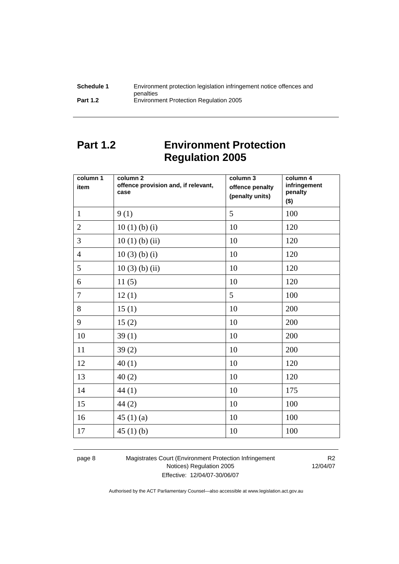| Schedule 1      | Environment protection legislation infringement notice offences and |
|-----------------|---------------------------------------------------------------------|
|                 | penalties                                                           |
| <b>Part 1.2</b> | <b>Environment Protection Regulation 2005</b>                       |

# **Part 1.2 Environment Protection Regulation 2005**

| column 1<br>item | column <sub>2</sub><br>offence provision and, if relevant,<br>case | column 3<br>offence penalty<br>(penalty units) | column 4<br>infringement<br>penalty<br>$($ \$) |
|------------------|--------------------------------------------------------------------|------------------------------------------------|------------------------------------------------|
| $\mathbf{1}$     | 9(1)                                                               | 5                                              | 100                                            |
| $\overline{2}$   | 10(1)(b)(i)                                                        | 10                                             | 120                                            |
| $\overline{3}$   | $10(1)$ (b) (ii)                                                   | 10                                             | 120                                            |
| $\overline{4}$   | $10(3)$ (b) (i)                                                    | 10                                             | 120                                            |
| 5                | $10(3)$ (b) (ii)                                                   | 10                                             | 120                                            |
| 6                | 11(5)                                                              | 10                                             | 120                                            |
| $\overline{7}$   | 12(1)                                                              | 5                                              | 100                                            |
| 8                | 15(1)                                                              | 10                                             | 200                                            |
| 9                | 15(2)                                                              | 10                                             | 200                                            |
| 10               | 39(1)                                                              | 10                                             | 200                                            |
| 11               | 39(2)                                                              | 10                                             | 200                                            |
| 12               | 40(1)                                                              | 10                                             | 120                                            |
| 13               | 40(2)                                                              | 10                                             | 120                                            |
| 14               | 44(1)                                                              | 10                                             | 175                                            |
| 15               | 44(2)                                                              | 10                                             | 100                                            |
| 16               | 45 $(1)(a)$                                                        | 10                                             | 100                                            |
| 17               | 45 $(1)$ $(b)$                                                     | 10                                             | 100                                            |

page 8 Magistrates Court (Environment Protection Infringement Notices) Regulation 2005 Effective: 12/04/07-30/06/07

R2 12/04/07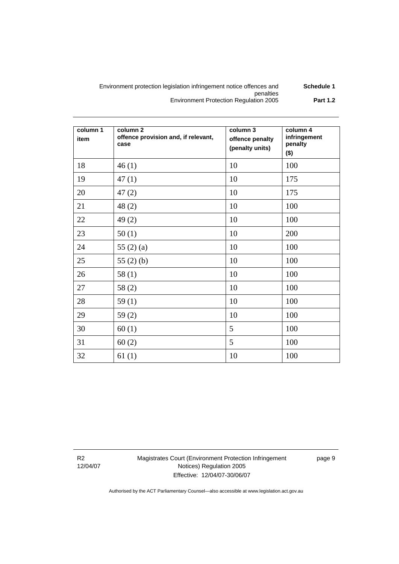#### Environment protection legislation infringement notice offences and penalties **Schedule 1**  Environment Protection Regulation 2005 **Part 1.2**

| column 1<br>item | column <sub>2</sub><br>offence provision and, if relevant,<br>case | column 3<br>offence penalty<br>(penalty units) | column 4<br>infringement<br>penalty<br>$($ \$) |
|------------------|--------------------------------------------------------------------|------------------------------------------------|------------------------------------------------|
| 18               | 46(1)                                                              | 10                                             | 100                                            |
| 19               | 47(1)                                                              | 10                                             | 175                                            |
| 20               | 47(2)                                                              | 10                                             | 175                                            |
| 21               | 48(2)                                                              | 10                                             | 100                                            |
| 22               | 49(2)                                                              | 10                                             | 100                                            |
| 23               | 50(1)                                                              | 10                                             | 200                                            |
| 24               | 55 $(2)$ $(a)$                                                     | 10                                             | 100                                            |
| 25               | 55 $(2)$ $(b)$                                                     | 10                                             | 100                                            |
| 26               | 58(1)                                                              | 10                                             | 100                                            |
| 27               | 58(2)                                                              | 10                                             | 100                                            |
| 28               | 59 $(1)$                                                           | 10                                             | 100                                            |
| 29               | 59(2)                                                              | 10                                             | 100                                            |
| 30               | 60(1)                                                              | 5                                              | 100                                            |
| 31               | 60(2)                                                              | 5                                              | 100                                            |
| 32               | 61(1)                                                              | 10                                             | 100                                            |

R2 12/04/07 Magistrates Court (Environment Protection Infringement Notices) Regulation 2005 Effective: 12/04/07-30/06/07

page 9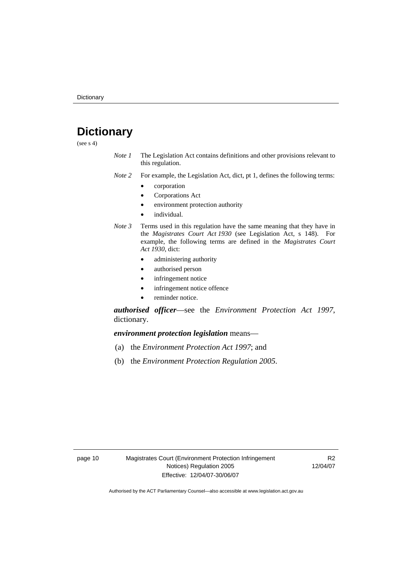# **Dictionary**

(see  $s$  4)

- *Note 1* The Legislation Act contains definitions and other provisions relevant to this regulation.
- *Note 2* For example, the Legislation Act, dict, pt 1, defines the following terms:
	- corporation
	- Corporations Act
	- environment protection authority
	- individual.
- *Note 3* Terms used in this regulation have the same meaning that they have in the *Magistrates Court Act 1930* (see Legislation Act, s 148). For example, the following terms are defined in the *Magistrates Court Act 1930*, dict:
	- administering authority
	- authorised person
	- infringement notice
	- infringement notice offence
	- reminder notice.

*authorised officer*—see the *Environment Protection Act 1997*, dictionary.

*environment protection legislation* means—

- (a) the *Environment Protection Act 1997*; and
- (b) the *Environment Protection Regulation 2005*.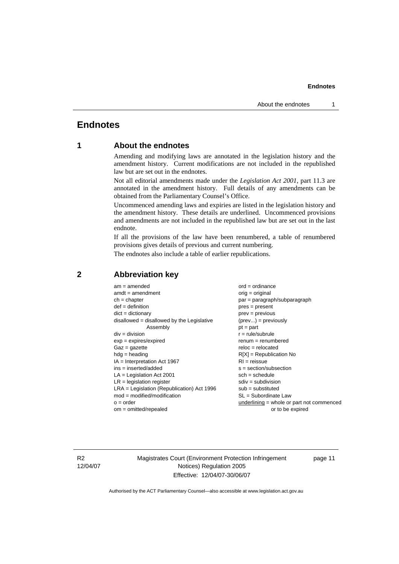#### **Endnotes**

## **Endnotes**

### **1 About the endnotes**

Amending and modifying laws are annotated in the legislation history and the amendment history. Current modifications are not included in the republished law but are set out in the endnotes.

Not all editorial amendments made under the *Legislation Act 2001*, part 11.3 are annotated in the amendment history. Full details of any amendments can be obtained from the Parliamentary Counsel's Office.

Uncommenced amending laws and expiries are listed in the legislation history and the amendment history. These details are underlined. Uncommenced provisions and amendments are not included in the republished law but are set out in the last endnote.

If all the provisions of the law have been renumbered, a table of renumbered provisions gives details of previous and current numbering.

The endnotes also include a table of earlier republications.

| $am = amended$                               | $ord = ordinance$                         |  |  |
|----------------------------------------------|-------------------------------------------|--|--|
| $amdt = amendment$                           | $orig = original$                         |  |  |
| $ch = chapter$                               | par = paragraph/subparagraph              |  |  |
| $def = definition$                           | $pres = present$                          |  |  |
| $dict = dictionary$                          | $prev = previous$                         |  |  |
| $disallowed = disallowed by the Legislative$ | $(\text{prev}) = \text{previously}$       |  |  |
| Assembly                                     | $pt = part$                               |  |  |
| $div = division$                             | $r = rule/subrule$                        |  |  |
| $exp = expires/expired$                      | $remum = renumbered$                      |  |  |
| $Gaz = gazette$                              | $reloc = relocated$                       |  |  |
| $hdg =$ heading                              | $R[X]$ = Republication No                 |  |  |
| $IA = Interpretation Act 1967$               | $RI = reissue$                            |  |  |
| $ins = inserted/added$                       | $s = section/subsection$                  |  |  |
| $LA =$ Legislation Act 2001                  | $sch = schedule$                          |  |  |
| $LR =$ legislation register                  | $sdiv = subdivision$                      |  |  |
| $LRA =$ Legislation (Republication) Act 1996 | $sub = substituted$                       |  |  |
| $mod = modified/modification$                | $SL = Subordinate$ Law                    |  |  |
| $o = order$                                  | underlining = whole or part not commenced |  |  |
| $om = omitted/repealed$                      | or to be expired                          |  |  |
|                                              |                                           |  |  |

#### **2 Abbreviation key**

R2 12/04/07 Magistrates Court (Environment Protection Infringement Notices) Regulation 2005 Effective: 12/04/07-30/06/07

page 11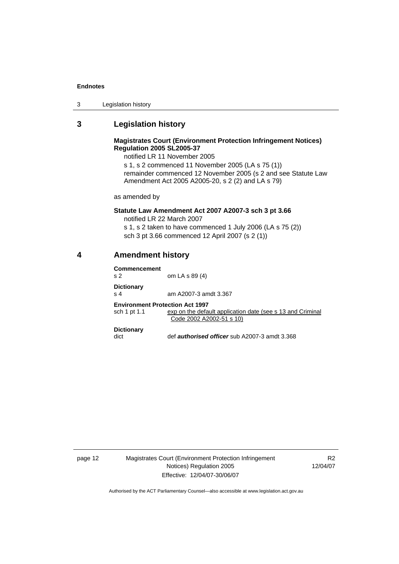#### **Endnotes**

### **3 Legislation history**

#### **Magistrates Court (Environment Protection Infringement Notices) Regulation 2005 SL2005-37**

notified LR 11 November 2005 s 1, s 2 commenced 11 November 2005 (LA s 75 (1)) remainder commenced 12 November 2005 (s 2 and see Statute Law Amendment Act 2005 A2005-20, s 2 (2) and LA s 79)

as amended by

#### **Statute Law Amendment Act 2007 A2007-3 sch 3 pt 3.66**

notified LR 22 March 2007 s 1, s 2 taken to have commenced 1 July 2006 (LA s 75 (2)) sch 3 pt 3.66 commenced 12 April 2007 (s 2 (1))

### **4 Amendment history**

| Commencement<br>s 2                                    | om LA s 89 (4)                                                                         |
|--------------------------------------------------------|----------------------------------------------------------------------------------------|
| <b>Dictionary</b><br>s 4                               | am A2007-3 amdt 3.367                                                                  |
| <b>Environment Protection Act 1997</b><br>sch 1 pt 1.1 | exp on the default application date (see s 13 and Criminal<br>Code 2002 A2002-51 s 10) |
| <b>Dictionary</b><br>dict                              | def <b>authorised officer</b> sub A2007-3 amdt 3.368                                   |

page 12 Magistrates Court (Environment Protection Infringement Notices) Regulation 2005 Effective: 12/04/07-30/06/07

R2 12/04/07